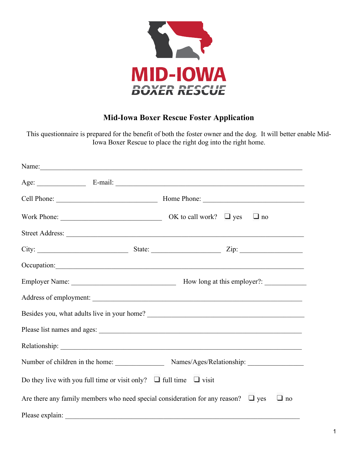

## **Mid-Iowa Boxer Rescue Foster Application**

This questionnaire is prepared for the benefit of both the foster owner and the dog. It will better enable Mid-Iowa Boxer Rescue to place the right dog into the right home.

| Name: Name: Name: Name: Name: Name: Name: Name: Name: Name: Name: Name: Name: Name: Name: Name: Name: Name: Name: Name: Name: Name: Name: Name: Name: Name: Name: Name: Name: Name: Name: Name: Name: Name: Name: Name: Name:        |  |           |
|--------------------------------------------------------------------------------------------------------------------------------------------------------------------------------------------------------------------------------------|--|-----------|
|                                                                                                                                                                                                                                      |  |           |
|                                                                                                                                                                                                                                      |  |           |
|                                                                                                                                                                                                                                      |  | $\Box$ no |
|                                                                                                                                                                                                                                      |  |           |
|                                                                                                                                                                                                                                      |  |           |
| Occupation: <u>contract the contract of the contract of the contract of the contract of the contract of the contract of the contract of the contract of the contract of the contract of the contract of the contract of the cont</u> |  |           |
|                                                                                                                                                                                                                                      |  |           |
| Address of employment:                                                                                                                                                                                                               |  |           |
|                                                                                                                                                                                                                                      |  |           |
|                                                                                                                                                                                                                                      |  |           |
|                                                                                                                                                                                                                                      |  |           |
| Number of children in the home: Names/Ages/Relationship: _______________________                                                                                                                                                     |  |           |
| Do they live with you full time or visit only? $\Box$ full time $\Box$ visit                                                                                                                                                         |  |           |
| Are there any family members who need special consideration for any reason? $\Box$ yes                                                                                                                                               |  | $\Box$ no |
| Please explain:                                                                                                                                                                                                                      |  |           |